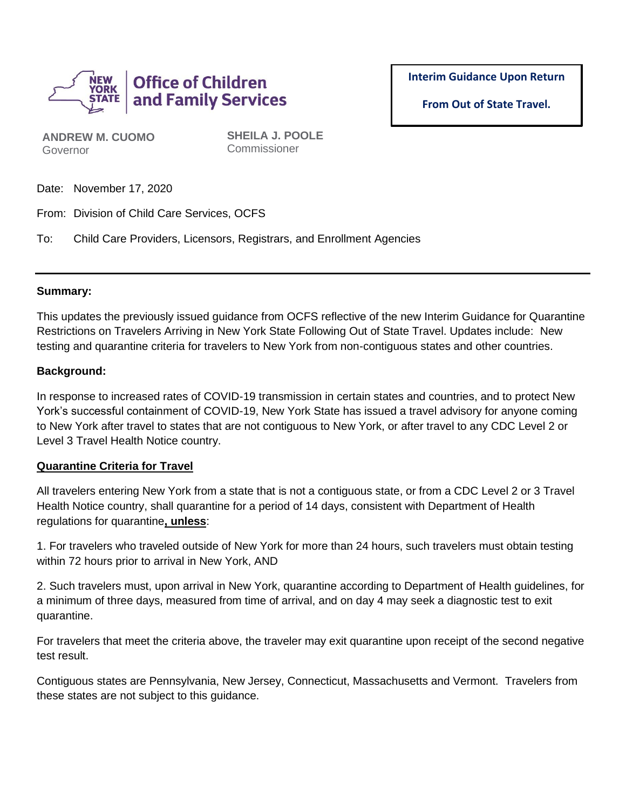

**Interim Guidance Upon Return** 

**From Out of State Travel.**

**ANDREW M. CUOMO** Governor

**SHEILA J. POOLE** Commissioner

Date: November 17, 2020

From: Division of Child Care Services, OCFS

To: Child Care Providers, Licensors, Registrars, and Enrollment Agencies

#### **Summary:**

This updates the previously issued guidance from OCFS reflective of the new Interim Guidance for Quarantine Restrictions on Travelers Arriving in New York State Following Out of State Travel. Updates include: New testing and quarantine criteria for travelers to New York from non-contiguous states and other countries.

### **Background:**

In response to increased rates of COVID-19 transmission in certain states and countries, and to protect New York's successful containment of COVID-19, New York State has issued a travel advisory for anyone coming to New York after travel to states that are not contiguous to New York, or after travel to any CDC Level 2 or Level 3 Travel Health Notice country.

#### **Quarantine Criteria for Travel**

All travelers entering New York from a state that is not a contiguous state, or from a CDC Level 2 or 3 Travel Health Notice country, shall quarantine for a period of 14 days, consistent with Department of Health regulations for quarantine**, unless**:

1. For travelers who traveled outside of New York for more than 24 hours, such travelers must obtain testing within 72 hours prior to arrival in New York, AND

2. Such travelers must, upon arrival in New York, quarantine according to Department of Health guidelines, for a minimum of three days, measured from time of arrival, and on day 4 may seek a diagnostic test to exit quarantine.

For travelers that meet the criteria above, the traveler may exit quarantine upon receipt of the second negative test result.

Contiguous states are Pennsylvania, New Jersey, Connecticut, Massachusetts and Vermont. Travelers from these states are not subject to this guidance.